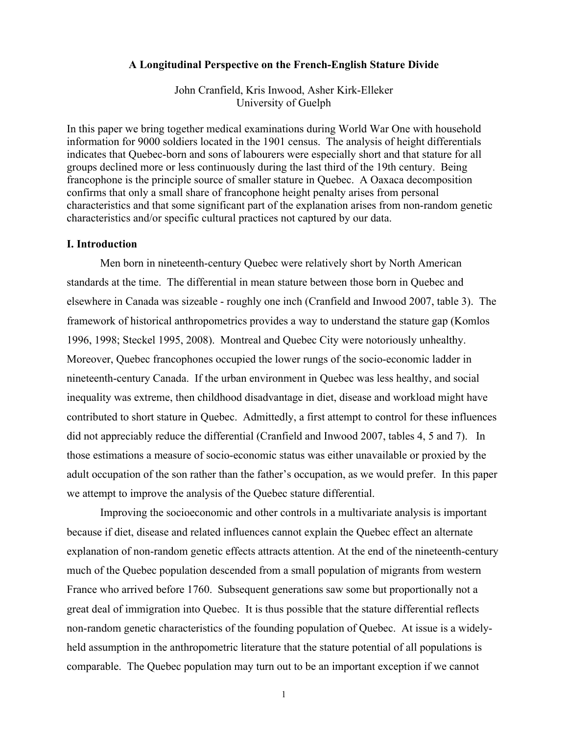#### **A Longitudinal Perspective on the French-English Stature Divide**

John Cranfield, Kris Inwood, Asher Kirk-Elleker University of Guelph

In this paper we bring together medical examinations during World War One with household information for 9000 soldiers located in the 1901 census. The analysis of height differentials indicates that Quebec-born and sons of labourers were especially short and that stature for all groups declined more or less continuously during the last third of the 19th century. Being francophone is the principle source of smaller stature in Quebec. A Oaxaca decomposition confirms that only a small share of francophone height penalty arises from personal characteristics and that some significant part of the explanation arises from non-random genetic characteristics and/or specific cultural practices not captured by our data.

### **I. Introduction**

Men born in nineteenth-century Quebec were relatively short by North American standards at the time. The differential in mean stature between those born in Quebec and elsewhere in Canada was sizeable - roughly one inch (Cranfield and Inwood 2007, table 3). The framework of historical anthropometrics provides a way to understand the stature gap (Komlos 1996, 1998; Steckel 1995, 2008). Montreal and Quebec City were notoriously unhealthy. Moreover, Quebec francophones occupied the lower rungs of the socio-economic ladder in nineteenth-century Canada. If the urban environment in Quebec was less healthy, and social inequality was extreme, then childhood disadvantage in diet, disease and workload might have contributed to short stature in Quebec. Admittedly, a first attempt to control for these influences did not appreciably reduce the differential (Cranfield and Inwood 2007, tables 4, 5 and 7). In those estimations a measure of socio-economic status was either unavailable or proxied by the adult occupation of the son rather than the father's occupation, as we would prefer. In this paper we attempt to improve the analysis of the Quebec stature differential.

Improving the socioeconomic and other controls in a multivariate analysis is important because if diet, disease and related influences cannot explain the Quebec effect an alternate explanation of non-random genetic effects attracts attention. At the end of the nineteenth-century much of the Quebec population descended from a small population of migrants from western France who arrived before 1760. Subsequent generations saw some but proportionally not a great deal of immigration into Quebec. It is thus possible that the stature differential reflects non-random genetic characteristics of the founding population of Quebec. At issue is a widelyheld assumption in the anthropometric literature that the stature potential of all populations is comparable. The Quebec population may turn out to be an important exception if we cannot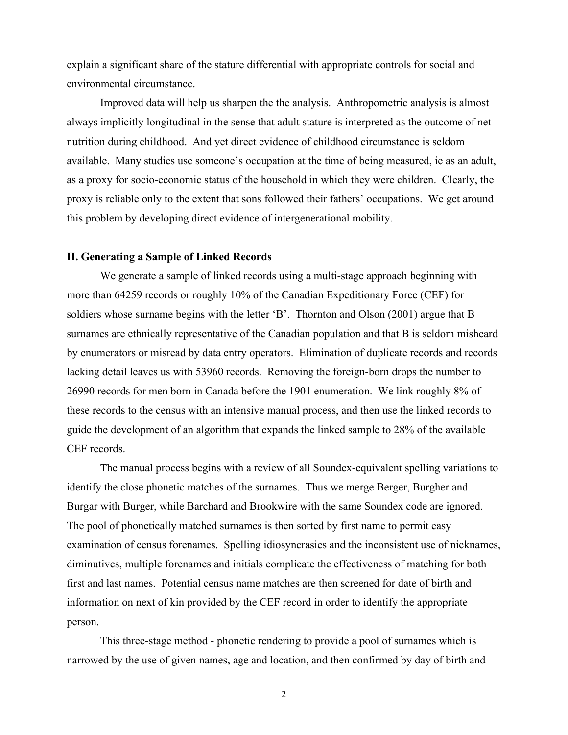explain a significant share of the stature differential with appropriate controls for social and environmental circumstance.

Improved data will help us sharpen the the analysis. Anthropometric analysis is almost always implicitly longitudinal in the sense that adult stature is interpreted as the outcome of net nutrition during childhood. And yet direct evidence of childhood circumstance is seldom available. Many studies use someone's occupation at the time of being measured, ie as an adult, as a proxy for socio-economic status of the household in which they were children. Clearly, the proxy is reliable only to the extent that sons followed their fathers' occupations. We get around this problem by developing direct evidence of intergenerational mobility.

### **II. Generating a Sample of Linked Records**

We generate a sample of linked records using a multi-stage approach beginning with more than 64259 records or roughly 10% of the Canadian Expeditionary Force (CEF) for soldiers whose surname begins with the letter 'B'. Thornton and Olson (2001) argue that B surnames are ethnically representative of the Canadian population and that B is seldom misheard by enumerators or misread by data entry operators. Elimination of duplicate records and records lacking detail leaves us with 53960 records. Removing the foreign-born drops the number to 26990 records for men born in Canada before the 1901 enumeration. We link roughly 8% of these records to the census with an intensive manual process, and then use the linked records to guide the development of an algorithm that expands the linked sample to 28% of the available CEF records.

The manual process begins with a review of all Soundex-equivalent spelling variations to identify the close phonetic matches of the surnames. Thus we merge Berger, Burgher and Burgar with Burger, while Barchard and Brookwire with the same Soundex code are ignored. The pool of phonetically matched surnames is then sorted by first name to permit easy examination of census forenames. Spelling idiosyncrasies and the inconsistent use of nicknames, diminutives, multiple forenames and initials complicate the effectiveness of matching for both first and last names. Potential census name matches are then screened for date of birth and information on next of kin provided by the CEF record in order to identify the appropriate person.

This three-stage method - phonetic rendering to provide a pool of surnames which is narrowed by the use of given names, age and location, and then confirmed by day of birth and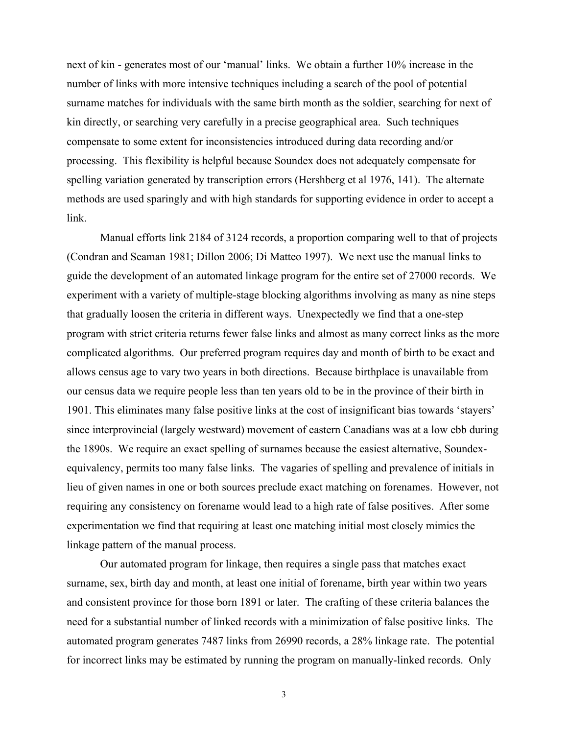next of kin - generates most of our 'manual' links. We obtain a further 10% increase in the number of links with more intensive techniques including a search of the pool of potential surname matches for individuals with the same birth month as the soldier, searching for next of kin directly, or searching very carefully in a precise geographical area. Such techniques compensate to some extent for inconsistencies introduced during data recording and/or processing. This flexibility is helpful because Soundex does not adequately compensate for spelling variation generated by transcription errors (Hershberg et al 1976, 141). The alternate methods are used sparingly and with high standards for supporting evidence in order to accept a link.

Manual efforts link 2184 of 3124 records, a proportion comparing well to that of projects (Condran and Seaman 1981; Dillon 2006; Di Matteo 1997). We next use the manual links to guide the development of an automated linkage program for the entire set of 27000 records. We experiment with a variety of multiple-stage blocking algorithms involving as many as nine steps that gradually loosen the criteria in different ways. Unexpectedly we find that a one-step program with strict criteria returns fewer false links and almost as many correct links as the more complicated algorithms. Our preferred program requires day and month of birth to be exact and allows census age to vary two years in both directions. Because birthplace is unavailable from our census data we require people less than ten years old to be in the province of their birth in 1901. This eliminates many false positive links at the cost of insignificant bias towards 'stayers' since interprovincial (largely westward) movement of eastern Canadians was at a low ebb during the 1890s. We require an exact spelling of surnames because the easiest alternative, Soundexequivalency, permits too many false links. The vagaries of spelling and prevalence of initials in lieu of given names in one or both sources preclude exact matching on forenames. However, not requiring any consistency on forename would lead to a high rate of false positives. After some experimentation we find that requiring at least one matching initial most closely mimics the linkage pattern of the manual process.

Our automated program for linkage, then requires a single pass that matches exact surname, sex, birth day and month, at least one initial of forename, birth year within two years and consistent province for those born 1891 or later. The crafting of these criteria balances the need for a substantial number of linked records with a minimization of false positive links. The automated program generates 7487 links from 26990 records, a 28% linkage rate. The potential for incorrect links may be estimated by running the program on manually-linked records. Only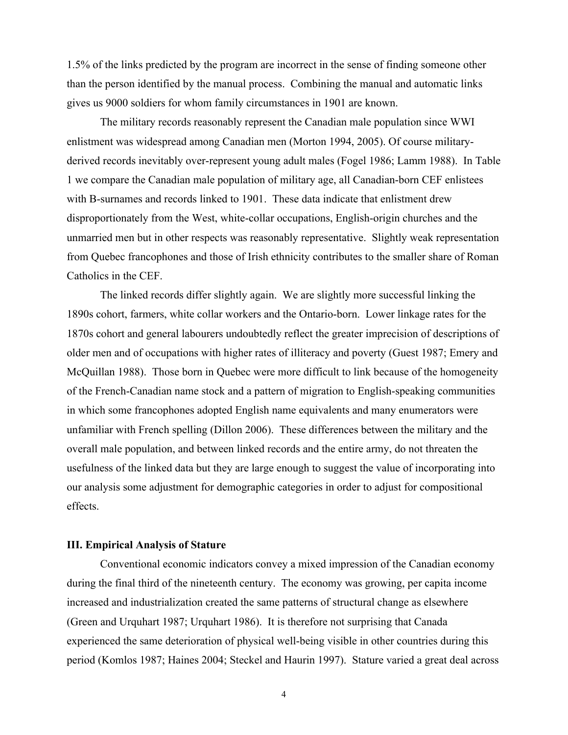1.5% of the links predicted by the program are incorrect in the sense of finding someone other than the person identified by the manual process. Combining the manual and automatic links gives us 9000 soldiers for whom family circumstances in 1901 are known.

The military records reasonably represent the Canadian male population since WWI enlistment was widespread among Canadian men (Morton 1994, 2005). Of course militaryderived records inevitably over-represent young adult males (Fogel 1986; Lamm 1988). In Table 1 we compare the Canadian male population of military age, all Canadian-born CEF enlistees with B-surnames and records linked to 1901. These data indicate that enlistment drew disproportionately from the West, white-collar occupations, English-origin churches and the unmarried men but in other respects was reasonably representative. Slightly weak representation from Quebec francophones and those of Irish ethnicity contributes to the smaller share of Roman Catholics in the CEF.

The linked records differ slightly again. We are slightly more successful linking the 1890s cohort, farmers, white collar workers and the Ontario-born. Lower linkage rates for the 1870s cohort and general labourers undoubtedly reflect the greater imprecision of descriptions of older men and of occupations with higher rates of illiteracy and poverty (Guest 1987; Emery and McQuillan 1988). Those born in Quebec were more difficult to link because of the homogeneity of the French-Canadian name stock and a pattern of migration to English-speaking communities in which some francophones adopted English name equivalents and many enumerators were unfamiliar with French spelling (Dillon 2006). These differences between the military and the overall male population, and between linked records and the entire army, do not threaten the usefulness of the linked data but they are large enough to suggest the value of incorporating into our analysis some adjustment for demographic categories in order to adjust for compositional effects.

## **III. Empirical Analysis of Stature**

Conventional economic indicators convey a mixed impression of the Canadian economy during the final third of the nineteenth century. The economy was growing, per capita income increased and industrialization created the same patterns of structural change as elsewhere (Green and Urquhart 1987; Urquhart 1986). It is therefore not surprising that Canada experienced the same deterioration of physical well-being visible in other countries during this period (Komlos 1987; Haines 2004; Steckel and Haurin 1997). Stature varied a great deal across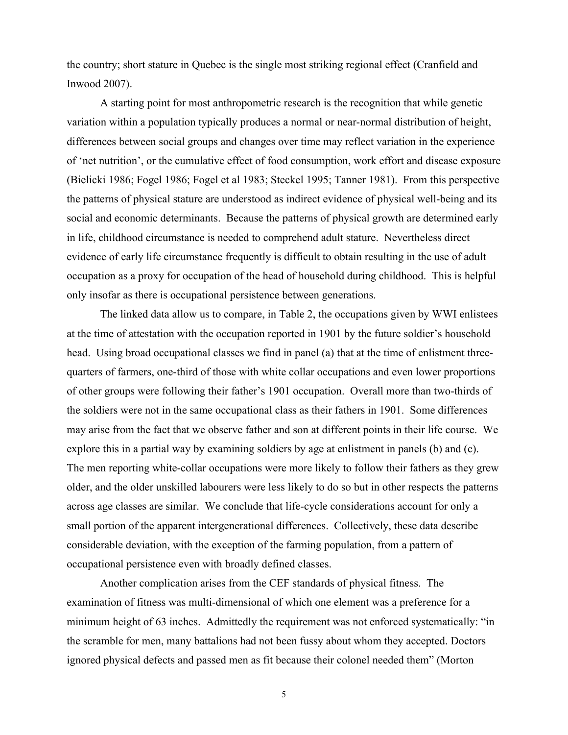the country; short stature in Quebec is the single most striking regional effect (Cranfield and Inwood 2007).

A starting point for most anthropometric research is the recognition that while genetic variation within a population typically produces a normal or near-normal distribution of height, differences between social groups and changes over time may reflect variation in the experience of 'net nutrition', or the cumulative effect of food consumption, work effort and disease exposure (Bielicki 1986; Fogel 1986; Fogel et al 1983; Steckel 1995; Tanner 1981). From this perspective the patterns of physical stature are understood as indirect evidence of physical well-being and its social and economic determinants. Because the patterns of physical growth are determined early in life, childhood circumstance is needed to comprehend adult stature. Nevertheless direct evidence of early life circumstance frequently is difficult to obtain resulting in the use of adult occupation as a proxy for occupation of the head of household during childhood. This is helpful only insofar as there is occupational persistence between generations.

The linked data allow us to compare, in Table 2, the occupations given by WWI enlistees at the time of attestation with the occupation reported in 1901 by the future soldier's household head. Using broad occupational classes we find in panel (a) that at the time of enlistment threequarters of farmers, one-third of those with white collar occupations and even lower proportions of other groups were following their father's 1901 occupation. Overall more than two-thirds of the soldiers were not in the same occupational class as their fathers in 1901. Some differences may arise from the fact that we observe father and son at different points in their life course. We explore this in a partial way by examining soldiers by age at enlistment in panels (b) and (c). The men reporting white-collar occupations were more likely to follow their fathers as they grew older, and the older unskilled labourers were less likely to do so but in other respects the patterns across age classes are similar. We conclude that life-cycle considerations account for only a small portion of the apparent intergenerational differences. Collectively, these data describe considerable deviation, with the exception of the farming population, from a pattern of occupational persistence even with broadly defined classes.

Another complication arises from the CEF standards of physical fitness. The examination of fitness was multi-dimensional of which one element was a preference for a minimum height of 63 inches. Admittedly the requirement was not enforced systematically: "in the scramble for men, many battalions had not been fussy about whom they accepted. Doctors ignored physical defects and passed men as fit because their colonel needed them" (Morton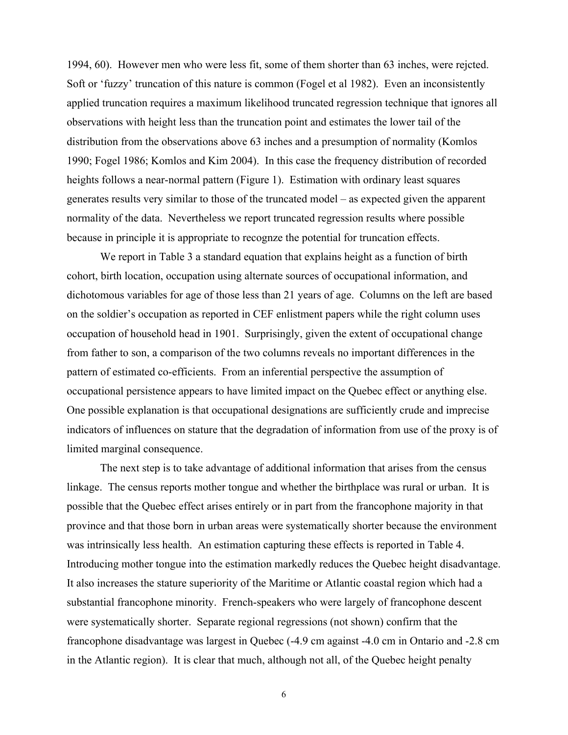1994, 60). However men who were less fit, some of them shorter than 63 inches, were rejcted. Soft or 'fuzzy' truncation of this nature is common (Fogel et al 1982). Even an inconsistently applied truncation requires a maximum likelihood truncated regression technique that ignores all observations with height less than the truncation point and estimates the lower tail of the distribution from the observations above 63 inches and a presumption of normality (Komlos 1990; Fogel 1986; Komlos and Kim 2004). In this case the frequency distribution of recorded heights follows a near-normal pattern (Figure 1). Estimation with ordinary least squares generates results very similar to those of the truncated model – as expected given the apparent normality of the data. Nevertheless we report truncated regression results where possible because in principle it is appropriate to recognze the potential for truncation effects.

We report in Table 3 a standard equation that explains height as a function of birth cohort, birth location, occupation using alternate sources of occupational information, and dichotomous variables for age of those less than 21 years of age. Columns on the left are based on the soldier's occupation as reported in CEF enlistment papers while the right column uses occupation of household head in 1901. Surprisingly, given the extent of occupational change from father to son, a comparison of the two columns reveals no important differences in the pattern of estimated co-efficients. From an inferential perspective the assumption of occupational persistence appears to have limited impact on the Quebec effect or anything else. One possible explanation is that occupational designations are sufficiently crude and imprecise indicators of influences on stature that the degradation of information from use of the proxy is of limited marginal consequence.

The next step is to take advantage of additional information that arises from the census linkage. The census reports mother tongue and whether the birthplace was rural or urban. It is possible that the Quebec effect arises entirely or in part from the francophone majority in that province and that those born in urban areas were systematically shorter because the environment was intrinsically less health. An estimation capturing these effects is reported in Table 4. Introducing mother tongue into the estimation markedly reduces the Quebec height disadvantage. It also increases the stature superiority of the Maritime or Atlantic coastal region which had a substantial francophone minority. French-speakers who were largely of francophone descent were systematically shorter. Separate regional regressions (not shown) confirm that the francophone disadvantage was largest in Quebec (-4.9 cm against -4.0 cm in Ontario and -2.8 cm in the Atlantic region). It is clear that much, although not all, of the Quebec height penalty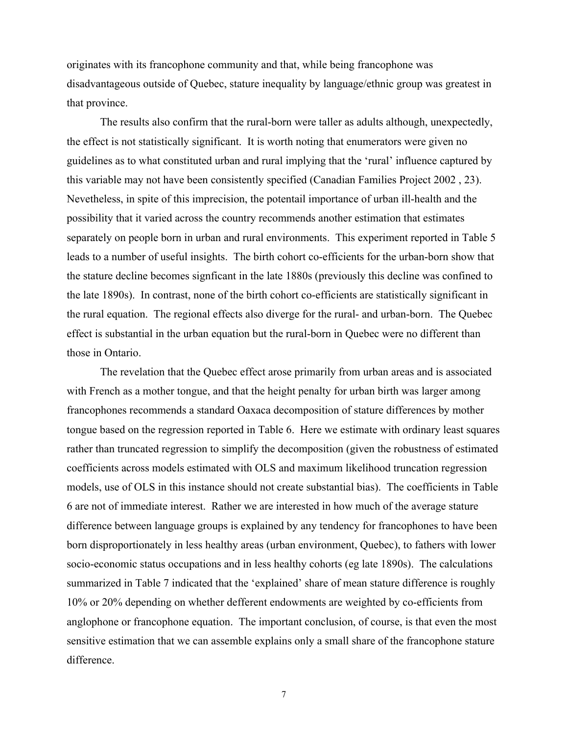originates with its francophone community and that, while being francophone was disadvantageous outside of Quebec, stature inequality by language/ethnic group was greatest in that province.

The results also confirm that the rural-born were taller as adults although, unexpectedly, the effect is not statistically significant. It is worth noting that enumerators were given no guidelines as to what constituted urban and rural implying that the 'rural' influence captured by this variable may not have been consistently specified (Canadian Families Project 2002 , 23). Nevetheless, in spite of this imprecision, the potentail importance of urban ill-health and the possibility that it varied across the country recommends another estimation that estimates separately on people born in urban and rural environments. This experiment reported in Table 5 leads to a number of useful insights. The birth cohort co-efficients for the urban-born show that the stature decline becomes signficant in the late 1880s (previously this decline was confined to the late 1890s). In contrast, none of the birth cohort co-efficients are statistically significant in the rural equation. The regional effects also diverge for the rural- and urban-born. The Quebec effect is substantial in the urban equation but the rural-born in Quebec were no different than those in Ontario.

The revelation that the Quebec effect arose primarily from urban areas and is associated with French as a mother tongue, and that the height penalty for urban birth was larger among francophones recommends a standard Oaxaca decomposition of stature differences by mother tongue based on the regression reported in Table 6. Here we estimate with ordinary least squares rather than truncated regression to simplify the decomposition (given the robustness of estimated coefficients across models estimated with OLS and maximum likelihood truncation regression models, use of OLS in this instance should not create substantial bias). The coefficients in Table 6 are not of immediate interest. Rather we are interested in how much of the average stature difference between language groups is explained by any tendency for francophones to have been born disproportionately in less healthy areas (urban environment, Quebec), to fathers with lower socio-economic status occupations and in less healthy cohorts (eg late 1890s). The calculations summarized in Table 7 indicated that the 'explained' share of mean stature difference is roughly 10% or 20% depending on whether defferent endowments are weighted by co-efficients from anglophone or francophone equation. The important conclusion, of course, is that even the most sensitive estimation that we can assemble explains only a small share of the francophone stature difference.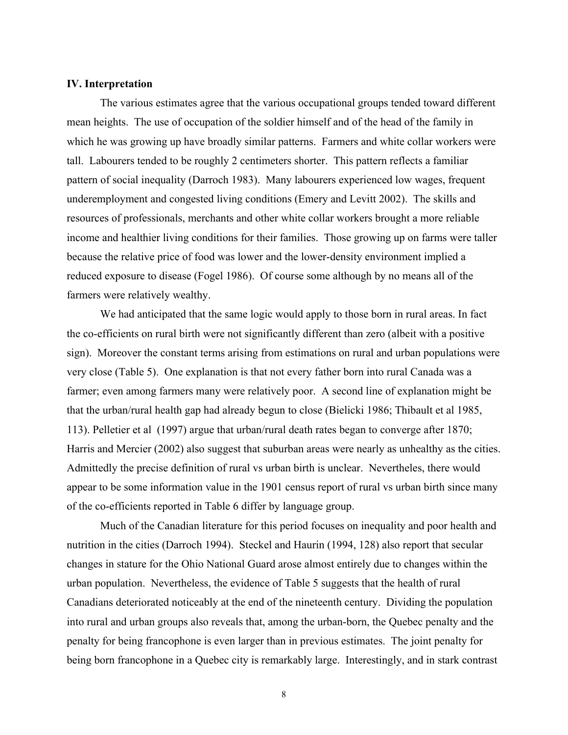## **IV. Interpretation**

The various estimates agree that the various occupational groups tended toward different mean heights. The use of occupation of the soldier himself and of the head of the family in which he was growing up have broadly similar patterns. Farmers and white collar workers were tall. Labourers tended to be roughly 2 centimeters shorter. This pattern reflects a familiar pattern of social inequality (Darroch 1983). Many labourers experienced low wages, frequent underemployment and congested living conditions (Emery and Levitt 2002). The skills and resources of professionals, merchants and other white collar workers brought a more reliable income and healthier living conditions for their families. Those growing up on farms were taller because the relative price of food was lower and the lower-density environment implied a reduced exposure to disease (Fogel 1986). Of course some although by no means all of the farmers were relatively wealthy.

We had anticipated that the same logic would apply to those born in rural areas. In fact the co-efficients on rural birth were not significantly different than zero (albeit with a positive sign). Moreover the constant terms arising from estimations on rural and urban populations were very close (Table 5). One explanation is that not every father born into rural Canada was a farmer; even among farmers many were relatively poor. A second line of explanation might be that the urban/rural health gap had already begun to close (Bielicki 1986; Thibault et al 1985, 113). Pelletier et al (1997) argue that urban/rural death rates began to converge after 1870; Harris and Mercier (2002) also suggest that suburban areas were nearly as unhealthy as the cities. Admittedly the precise definition of rural vs urban birth is unclear. Nevertheles, there would appear to be some information value in the 1901 census report of rural vs urban birth since many of the co-efficients reported in Table 6 differ by language group.

Much of the Canadian literature for this period focuses on inequality and poor health and nutrition in the cities (Darroch 1994). Steckel and Haurin (1994, 128) also report that secular changes in stature for the Ohio National Guard arose almost entirely due to changes within the urban population. Nevertheless, the evidence of Table 5 suggests that the health of rural Canadians deteriorated noticeably at the end of the nineteenth century. Dividing the population into rural and urban groups also reveals that, among the urban-born, the Quebec penalty and the penalty for being francophone is even larger than in previous estimates. The joint penalty for being born francophone in a Quebec city is remarkably large. Interestingly, and in stark contrast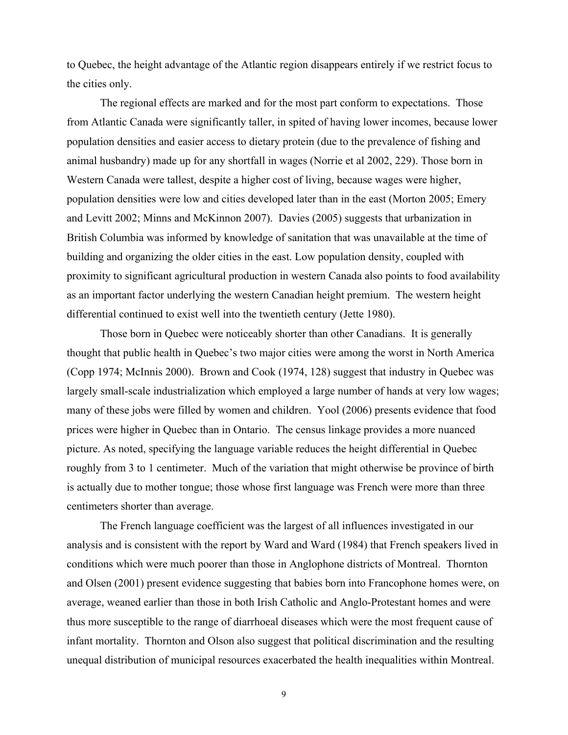to Quebec, the height advantage of the Atlantic region disappears entirely if we restrict focus to the cities only.

The regional effects are marked and for the most part conform to expectations. Those from Atlantic Canada were significantly taller, in spited of having lower incomes, because lower population densities and easier access to dietary protein (due to the prevalence of fishing and animal husbandry) made up for any shortfall in wages (Norrie et al 2002, 229). Those born in Western Canada were tallest, despite a higher cost of living, because wages were higher, population densities were low and cities developed later than in the east (Morton 2005; Emery and Levitt 2002; Minns and McKinnon 2007). Davies (2005) suggests that urbanization in British Columbia was informed by knowledge of sanitation that was unavailable at the time of building and organizing the older cities in the east. Low population density, coupled with proximity to significant agricultural production in western Canada also points to food availability as an important factor underlying the western Canadian height premium. The western height differential continued to exist well into the twentieth century (Jette 1980).

Those born in Quebec were noticeably shorter than other Canadians. It is generally thought that public health in Quebec's two major cities were among the worst in North America (Copp 1974; McInnis 2000). Brown and Cook (1974, 128) suggest that industry in Quebec was largely small-scale industrialization which employed a large number of hands at very low wages; many of these jobs were filled by women and children. Yool (2006) presents evidence that food prices were higher in Quebec than in Ontario. The census linkage provides a more nuanced picture. As noted, specifying the language variable reduces the height differential in Quebec roughly from 3 to 1 centimeter. Much of the variation that might otherwise be province of birth is actually due to mother tongue; those whose first language was French were more than three centimeters shorter than average.

The French language coefficient was the largest of all influences investigated in our analysis and is consistent with the report by Ward and Ward (1984) that French speakers lived in conditions which were much poorer than those in Anglophone districts of Montreal. Thornton and Olsen (2001) present evidence suggesting that babies born into Francophone homes were, on average, weaned earlier than those in both Irish Catholic and Anglo-Protestant homes and were thus more susceptible to the range of diarrhoeal diseases which were the most frequent cause of infant mortality. Thornton and Olson also suggest that political discrimination and the resulting unequal distribution of municipal resources exacerbated the health inequalities within Montreal.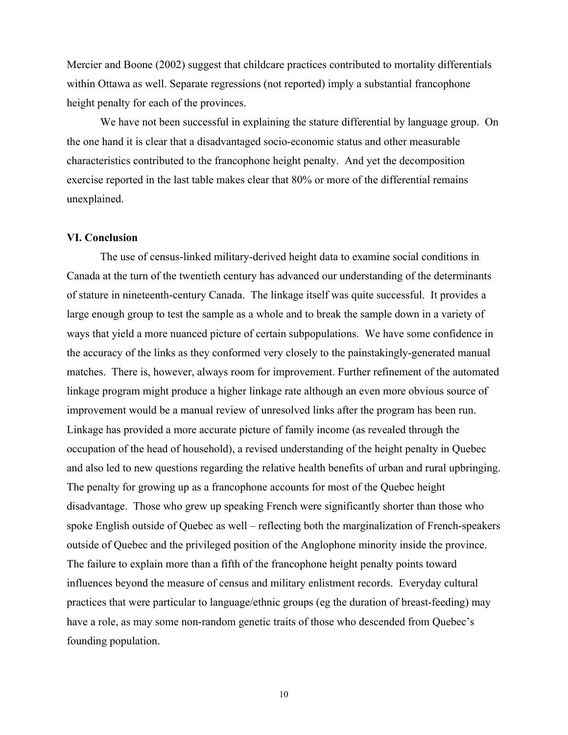Mercier and Boone (2002) suggest that childcare practices contributed to mortality differentials within Ottawa as well. Separate regressions (not reported) imply a substantial francophone height penalty for each of the provinces.

We have not been successful in explaining the stature differential by language group. On the one hand it is clear that a disadvantaged socio-economic status and other measurable characteristics contributed to the francophone height penalty. And yet the decomposition exercise reported in the last table makes clear that 80% or more of the differential remains unexplained.

### **VI. Conclusion**

The use of census-linked military-derived height data to examine social conditions in Canada at the turn of the twentieth century has advanced our understanding of the determinants of stature in nineteenth-century Canada. The linkage itself was quite successful. It provides a large enough group to test the sample as a whole and to break the sample down in a variety of ways that yield a more nuanced picture of certain subpopulations. We have some confidence in the accuracy of the links as they conformed very closely to the painstakingly-generated manual matches. There is, however, always room for improvement. Further refinement of the automated linkage program might produce a higher linkage rate although an even more obvious source of improvement would be a manual review of unresolved links after the program has been run. Linkage has provided a more accurate picture of family income (as revealed through the occupation of the head of household), a revised understanding of the height penalty in Quebec and also led to new questions regarding the relative health benefits of urban and rural upbringing. The penalty for growing up as a francophone accounts for most of the Quebec height disadvantage. Those who grew up speaking French were significantly shorter than those who spoke English outside of Quebec as well – reflecting both the marginalization of French-speakers outside of Quebec and the privileged position of the Anglophone minority inside the province. The failure to explain more than a fifth of the francophone height penalty points toward influences beyond the measure of census and military enlistment records. Everyday cultural practices that were particular to language/ethnic groups (eg the duration of breast-feeding) may have a role, as may some non-random genetic traits of those who descended from Quebec's founding population.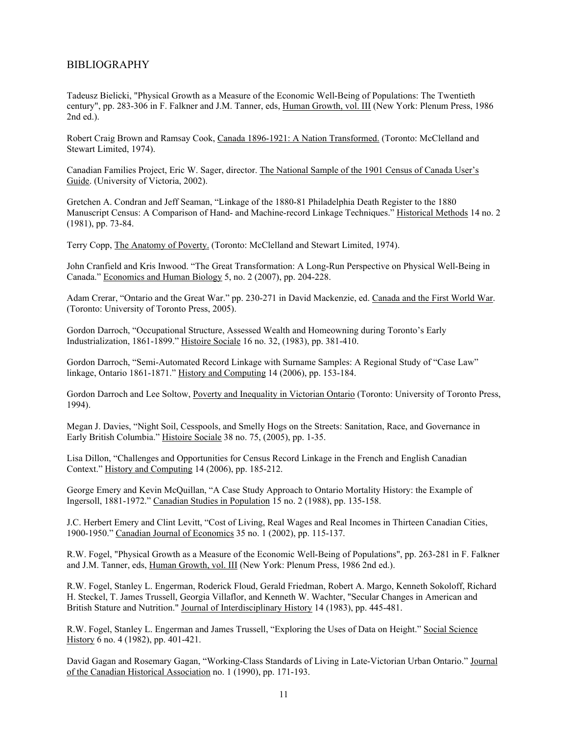## BIBLIOGRAPHY

Tadeusz Bielicki, "Physical Growth as a Measure of the Economic Well-Being of Populations: The Twentieth century", pp. 283-306 in F. Falkner and J.M. Tanner, eds, Human Growth, vol. III (New York: Plenum Press, 1986 2nd ed.).

Robert Craig Brown and Ramsay Cook, Canada 1896-1921: A Nation Transformed. (Toronto: McClelland and Stewart Limited, 1974).

Canadian Families Project, Eric W. Sager, director. The National Sample of the 1901 Census of Canada User's Guide. (University of Victoria, 2002).

Gretchen A. Condran and Jeff Seaman, "Linkage of the 1880-81 Philadelphia Death Register to the 1880 Manuscript Census: A Comparison of Hand- and Machine-record Linkage Techniques." Historical Methods 14 no. 2 (1981), pp. 73-84.

Terry Copp, The Anatomy of Poverty. (Toronto: McClelland and Stewart Limited, 1974).

John Cranfield and Kris Inwood. "The Great Transformation: A Long-Run Perspective on Physical Well-Being in Canada." Economics and Human Biology 5, no. 2 (2007), pp. 204-228.

Adam Crerar, "Ontario and the Great War." pp. 230-271 in David Mackenzie, ed. Canada and the First World War. (Toronto: University of Toronto Press, 2005).

Gordon Darroch, "Occupational Structure, Assessed Wealth and Homeowning during Toronto's Early Industrialization, 1861-1899." Histoire Sociale 16 no. 32, (1983), pp. 381-410.

Gordon Darroch, "Semi-Automated Record Linkage with Surname Samples: A Regional Study of "Case Law" linkage, Ontario 1861-1871." History and Computing 14 (2006), pp. 153-184.

Gordon Darroch and Lee Soltow, Poverty and Inequality in Victorian Ontario (Toronto: University of Toronto Press, 1994).

Megan J. Davies, "Night Soil, Cesspools, and Smelly Hogs on the Streets: Sanitation, Race, and Governance in Early British Columbia." Histoire Sociale 38 no. 75, (2005), pp. 1-35.

Lisa Dillon, "Challenges and Opportunities for Census Record Linkage in the French and English Canadian Context." History and Computing 14 (2006), pp. 185-212.

George Emery and Kevin McQuillan, "A Case Study Approach to Ontario Mortality History: the Example of Ingersoll, 1881-1972." Canadian Studies in Population 15 no. 2 (1988), pp. 135-158.

J.C. Herbert Emery and Clint Levitt, "Cost of Living, Real Wages and Real Incomes in Thirteen Canadian Cities, 1900-1950." Canadian Journal of Economics 35 no. 1 (2002), pp. 115-137.

R.W. Fogel, "Physical Growth as a Measure of the Economic Well-Being of Populations", pp. 263-281 in F. Falkner and J.M. Tanner, eds, Human Growth, vol. III (New York: Plenum Press, 1986 2nd ed.).

R.W. Fogel, Stanley L. Engerman, Roderick Floud, Gerald Friedman, Robert A. Margo, Kenneth Sokoloff, Richard H. Steckel, T. James Trussell, Georgia Villaflor, and Kenneth W. Wachter, "Secular Changes in American and British Stature and Nutrition." Journal of Interdisciplinary History 14 (1983), pp. 445-481.

R.W. Fogel, Stanley L. Engerman and James Trussell, "Exploring the Uses of Data on Height." Social Science History 6 no. 4 (1982), pp. 401-421.

David Gagan and Rosemary Gagan, "Working-Class Standards of Living in Late-Victorian Urban Ontario." Journal of the Canadian Historical Association no. 1 (1990), pp. 171-193.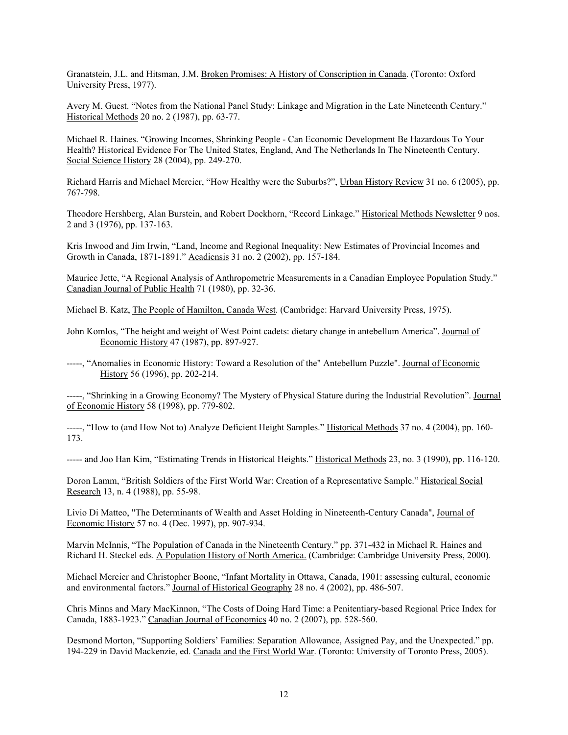Granatstein, J.L. and Hitsman, J.M. Broken Promises: A History of Conscription in Canada. (Toronto: Oxford University Press, 1977).

Avery M. Guest. "Notes from the National Panel Study: Linkage and Migration in the Late Nineteenth Century." Historical Methods 20 no. 2 (1987), pp. 63-77.

Michael R. Haines. "Growing Incomes, Shrinking People - Can Economic Development Be Hazardous To Your Health? Historical Evidence For The United States, England, And The Netherlands In The Nineteenth Century. Social Science History 28 (2004), pp. 249-270.

Richard Harris and Michael Mercier, "How Healthy were the Suburbs?", Urban History Review 31 no. 6 (2005), pp. 767-798.

Theodore Hershberg, Alan Burstein, and Robert Dockhorn, "Record Linkage." Historical Methods Newsletter 9 nos. 2 and 3 (1976), pp. 137-163.

Kris Inwood and Jim Irwin, "Land, Income and Regional Inequality: New Estimates of Provincial Incomes and Growth in Canada, 1871-1891." Acadiensis 31 no. 2 (2002), pp. 157-184.

Maurice Jette, "A Regional Analysis of Anthropometric Measurements in a Canadian Employee Population Study." Canadian Journal of Public Health 71 (1980), pp. 32-36.

Michael B. Katz, The People of Hamilton, Canada West. (Cambridge: Harvard University Press, 1975).

John Komlos, "The height and weight of West Point cadets: dietary change in antebellum America". Journal of Economic History 47 (1987), pp. 897-927.

-----, "Anomalies in Economic History: Toward a Resolution of the" Antebellum Puzzle". Journal of Economic History 56 (1996), pp. 202-214.

-----, "Shrinking in a Growing Economy? The Mystery of Physical Stature during the Industrial Revolution". Journal of Economic History 58 (1998), pp. 779-802.

-----, "How to (and How Not to) Analyze Deficient Height Samples." Historical Methods 37 no. 4 (2004), pp. 160- 173.

----- and Joo Han Kim, "Estimating Trends in Historical Heights." Historical Methods 23, no. 3 (1990), pp. 116-120.

Doron Lamm, "British Soldiers of the First World War: Creation of a Representative Sample." Historical Social Research 13, n. 4 (1988), pp. 55-98.

Livio Di Matteo, "The Determinants of Wealth and Asset Holding in Nineteenth-Century Canada", Journal of Economic History 57 no. 4 (Dec. 1997), pp. 907-934.

Marvin McInnis, "The Population of Canada in the Nineteenth Century." pp. 371-432 in Michael R. Haines and Richard H. Steckel eds. A Population History of North America. (Cambridge: Cambridge University Press, 2000).

Michael Mercier and Christopher Boone, "Infant Mortality in Ottawa, Canada, 1901: assessing cultural, economic and environmental factors." Journal of Historical Geography 28 no. 4 (2002), pp. 486-507.

Chris Minns and Mary MacKinnon, "The Costs of Doing Hard Time: a Penitentiary-based Regional Price Index for Canada, 1883-1923." Canadian Journal of Economics 40 no. 2 (2007), pp. 528-560.

Desmond Morton, "Supporting Soldiers' Families: Separation Allowance, Assigned Pay, and the Unexpected." pp. 194-229 in David Mackenzie, ed. Canada and the First World War. (Toronto: University of Toronto Press, 2005).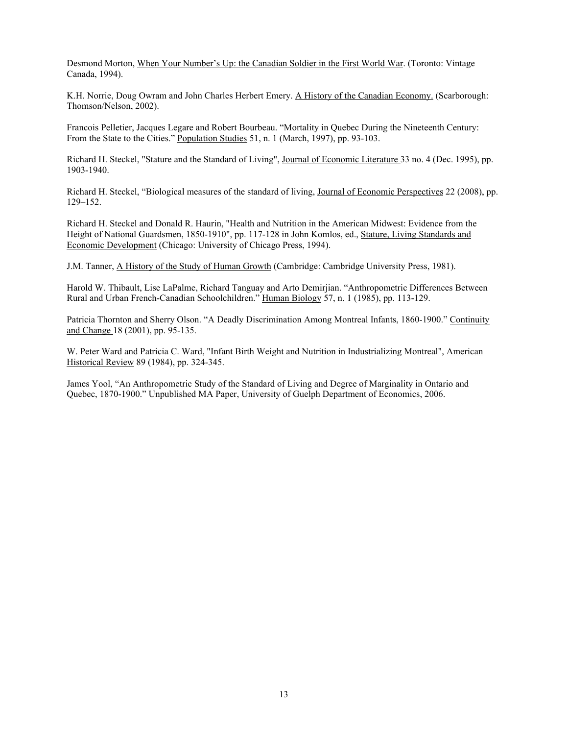Desmond Morton, When Your Number's Up: the Canadian Soldier in the First World War. (Toronto: Vintage Canada, 1994).

K.H. Norrie, Doug Owram and John Charles Herbert Emery. A History of the Canadian Economy. (Scarborough: Thomson/Nelson, 2002).

Francois Pelletier, Jacques Legare and Robert Bourbeau. "Mortality in Quebec During the Nineteenth Century: From the State to the Cities." Population Studies 51, n. 1 (March, 1997), pp. 93-103.

Richard H. Steckel, "Stature and the Standard of Living", Journal of Economic Literature 33 no. 4 (Dec. 1995), pp. 1903-1940.

Richard H. Steckel, "Biological measures of the standard of living, Journal of Economic Perspectives 22 (2008), pp. 129–152.

Richard H. Steckel and Donald R. Haurin, "Health and Nutrition in the American Midwest: Evidence from the Height of National Guardsmen, 1850-1910", pp. 117-128 in John Komlos, ed., Stature, Living Standards and Economic Development (Chicago: University of Chicago Press, 1994).

J.M. Tanner, A History of the Study of Human Growth (Cambridge: Cambridge University Press, 1981).

Harold W. Thibault, Lise LaPalme, Richard Tanguay and Arto Demirjian. "Anthropometric Differences Between Rural and Urban French-Canadian Schoolchildren." Human Biology 57, n. 1 (1985), pp. 113-129.

Patricia Thornton and Sherry Olson. "A Deadly Discrimination Among Montreal Infants, 1860-1900." Continuity and Change 18 (2001), pp. 95-135.

W. Peter Ward and Patricia C. Ward, "Infant Birth Weight and Nutrition in Industrializing Montreal", American Historical Review 89 (1984), pp. 324-345.

James Yool, "An Anthropometric Study of the Standard of Living and Degree of Marginality in Ontario and Quebec, 1870-1900." Unpublished MA Paper, University of Guelph Department of Economics, 2006.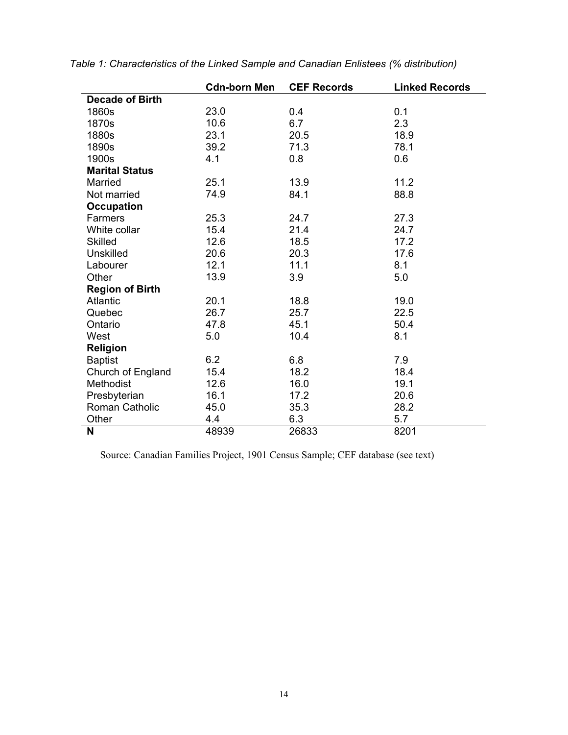|                        | <b>Cdn-born Men</b> | <b>CEF Records</b> | <b>Linked Records</b> |
|------------------------|---------------------|--------------------|-----------------------|
| <b>Decade of Birth</b> |                     |                    |                       |
| 1860s                  | 23.0                | 0.4                | 0.1                   |
| 1870s                  | 10.6                | 6.7                | 2.3                   |
| 1880s                  | 23.1                | 20.5               | 18.9                  |
| 1890s                  | 39.2                | 71.3               | 78.1                  |
| 1900s                  | 4.1                 | 0.8                | 0.6                   |
| <b>Marital Status</b>  |                     |                    |                       |
| Married                | 25.1                | 13.9               | 11.2                  |
| Not married            | 74.9                | 84.1               | 88.8                  |
| <b>Occupation</b>      |                     |                    |                       |
| Farmers                | 25.3                | 24.7               | 27.3                  |
| White collar           | 15.4                | 21.4               | 24.7                  |
| <b>Skilled</b>         | 12.6                | 18.5               | 17.2                  |
| <b>Unskilled</b>       | 20.6                | 20.3               | 17.6                  |
| Labourer               | 12.1                | 11.1               | 8.1                   |
| Other                  | 13.9                | 3.9                | 5.0                   |
| <b>Region of Birth</b> |                     |                    |                       |
| <b>Atlantic</b>        | 20.1                | 18.8               | 19.0                  |
| Quebec                 | 26.7                | 25.7               | 22.5                  |
| Ontario                | 47.8                | 45.1               | 50.4                  |
| West                   | 5.0                 | 10.4               | 8.1                   |
| Religion               |                     |                    |                       |
| <b>Baptist</b>         | 6.2                 | 6.8                | 7.9                   |
| Church of England      | 15.4                | 18.2               | 18.4                  |
| Methodist              | 12.6                | 16.0               | 19.1                  |
| Presbyterian           | 16.1                | 17.2               | 20.6                  |
| Roman Catholic         | 45.0                | 35.3               | 28.2                  |
| Other                  | 4.4                 | 6.3                | 5.7                   |
| N                      | 48939               | 26833              | 8201                  |

*Table 1: Characteristics of the Linked Sample and Canadian Enlistees (% distribution)*

Source: Canadian Families Project, 1901 Census Sample; CEF database (see text)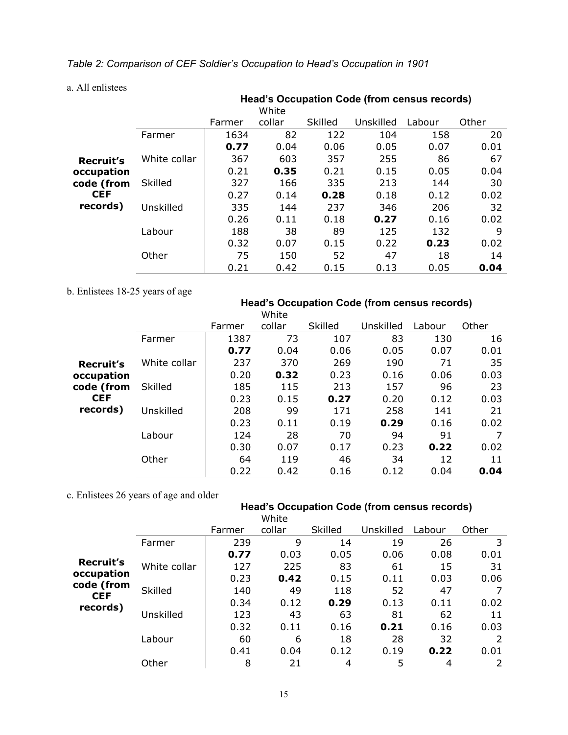*Table 2: Comparison of CEF Soldier's Occupation to Head's Occupation in 1901*

a. All enlistees

|                  |              | <b>Head's Occupation Code (from census records)</b><br>White |        |         |           |        |       |  |  |
|------------------|--------------|--------------------------------------------------------------|--------|---------|-----------|--------|-------|--|--|
|                  |              | Farmer                                                       | collar | Skilled | Unskilled | Labour | Other |  |  |
|                  | Farmer       | 1634                                                         | 82     | 122     | 104       | 158    | 20    |  |  |
|                  |              | 0.77                                                         | 0.04   | 0.06    | 0.05      | 0.07   | 0.01  |  |  |
| <b>Recruit's</b> | White collar | 367                                                          | 603    | 357     | 255       | 86     | 67    |  |  |
| occupation       |              | 0.21                                                         | 0.35   | 0.21    | 0.15      | 0.05   | 0.04  |  |  |
| code (from       | Skilled      | 327                                                          | 166    | 335     | 213       | 144    | 30    |  |  |
| <b>CEF</b>       |              | 0.27                                                         | 0.14   | 0.28    | 0.18      | 0.12   | 0.02  |  |  |
| records)         | Unskilled    | 335                                                          | 144    | 237     | 346       | 206    | 32    |  |  |
|                  |              | 0.26                                                         | 0.11   | 0.18    | 0.27      | 0.16   | 0.02  |  |  |
|                  | Labour       | 188                                                          | 38     | 89      | 125       | 132    | 9     |  |  |
|                  |              | 0.32                                                         | 0.07   | 0.15    | 0.22      | 0.23   | 0.02  |  |  |
|                  | Other        | 75                                                           | 150    | 52      | 47        | 18     | 14    |  |  |
|                  |              | 0.21                                                         | 0.42   | 0.15    | 0.13      | 0.05   | 0.04  |  |  |

b. Enlistees 18-25 years of age

#### **Head's Occupation Code (from census records)**

|            |                |        | White  |         |           |        |       |
|------------|----------------|--------|--------|---------|-----------|--------|-------|
|            |                | Farmer | collar | Skilled | Unskilled | Labour | Other |
|            | Farmer         | 1387   | 73     | 107     | 83        | 130    | 16    |
|            |                | 0.77   | 0.04   | 0.06    | 0.05      | 0.07   | 0.01  |
| Recruit's  | White collar   | 237    | 370    | 269     | 190       | 71     | 35    |
| occupation |                | 0.20   | 0.32   | 0.23    | 0.16      | 0.06   | 0.03  |
| code (from | <b>Skilled</b> | 185    | 115    | 213     | 157       | 96     | 23    |
| <b>CEF</b> |                | 0.23   | 0.15   | 0.27    | 0.20      | 0.12   | 0.03  |
| records)   | Unskilled      | 208    | 99     | 171     | 258       | 141    | 21    |
|            |                | 0.23   | 0.11   | 0.19    | 0.29      | 0.16   | 0.02  |
|            | Labour         | 124    | 28     | 70      | 94        | 91     | 7     |
|            |                | 0.30   | 0.07   | 0.17    | 0.23      | 0.22   | 0.02  |
|            | Other          | 64     | 119    | 46      | 34        | 12     | 11    |
|            |                | 0.22   | 0.42   | 0.16    | 0.12      | 0.04   | 0.04  |

c. Enlistees 26 years of age and older

# **Head's Occupation Code (from census records)**

|                          |                |        | White  |         |           |        |       |
|--------------------------|----------------|--------|--------|---------|-----------|--------|-------|
|                          |                | Farmer | collar | Skilled | Unskilled | Labour | Other |
|                          | Farmer         | 239    | 9      | 14      | 19        | 26     | 3     |
|                          |                | 0.77   | 0.03   | 0.05    | 0.06      | 0.08   | 0.01  |
| <b>Recruit's</b>         | White collar   | 127    | 225    | 83      | 61        | 15     | 31    |
| occupation<br>code (from |                | 0.23   | 0.42   | 0.15    | 0.11      | 0.03   | 0.06  |
| <b>CEF</b>               | <b>Skilled</b> | 140    | 49     | 118     | 52        | 47     |       |
| records)                 |                | 0.34   | 0.12   | 0.29    | 0.13      | 0.11   | 0.02  |
|                          | Unskilled      | 123    | 43     | 63      | 81        | 62     | 11    |
|                          |                | 0.32   | 0.11   | 0.16    | 0.21      | 0.16   | 0.03  |
|                          | Labour         | 60     | 6      | 18      | 28        | 32     | 2     |
|                          |                | 0.41   | 0.04   | 0.12    | 0.19      | 0.22   | 0.01  |
|                          | Other          | 8      | 21     | 4       | 5         | 4      | 2     |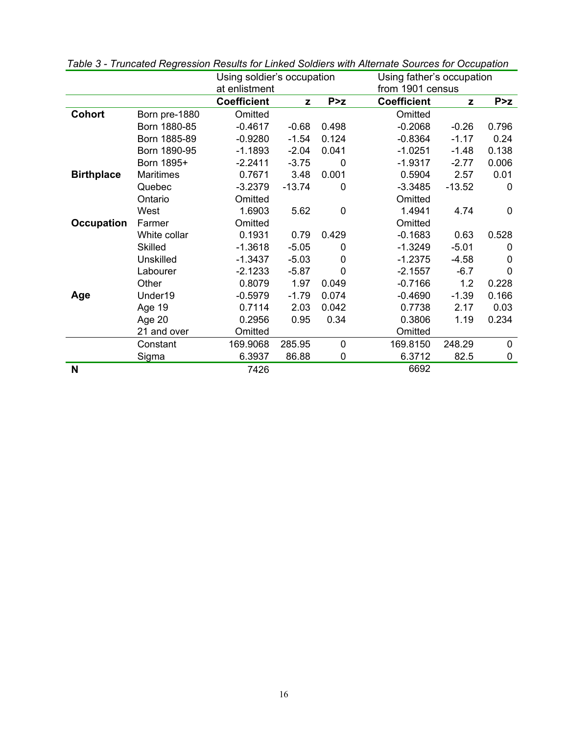|                   |                  | Using soldier's occupation |          |             |                    | Using father's occupation |             |  |  |
|-------------------|------------------|----------------------------|----------|-------------|--------------------|---------------------------|-------------|--|--|
|                   |                  | at enlistment              |          |             | from 1901 census   |                           |             |  |  |
|                   |                  | <b>Coefficient</b>         | z        | P > z       | <b>Coefficient</b> | z                         | P > z       |  |  |
| <b>Cohort</b>     | Born pre-1880    | Omitted                    |          |             | Omitted            |                           |             |  |  |
|                   | Born 1880-85     | $-0.4617$                  | $-0.68$  | 0.498       | $-0.2068$          | $-0.26$                   | 0.796       |  |  |
|                   | Born 1885-89     | $-0.9280$                  | $-1.54$  | 0.124       | $-0.8364$          | $-1.17$                   | 0.24        |  |  |
|                   | Born 1890-95     | $-1.1893$                  | $-2.04$  | 0.041       | $-1.0251$          | $-1.48$                   | 0.138       |  |  |
|                   | Born 1895+       | $-2.2411$                  | $-3.75$  | 0           | $-1.9317$          | $-2.77$                   | 0.006       |  |  |
| <b>Birthplace</b> | <b>Maritimes</b> | 0.7671                     | 3.48     | 0.001       | 0.5904             | 2.57                      | 0.01        |  |  |
|                   | Quebec           | $-3.2379$                  | $-13.74$ | 0           | $-3.3485$          | $-13.52$                  | $\mathbf 0$ |  |  |
|                   | Ontario          | Omitted                    |          |             | Omitted            |                           |             |  |  |
|                   | West             | 1.6903                     | 5.62     | 0           | 1.4941             | 4.74                      | $\mathbf 0$ |  |  |
| <b>Occupation</b> | Farmer           | Omitted                    |          |             | Omitted            |                           |             |  |  |
|                   | White collar     | 0.1931                     | 0.79     | 0.429       | $-0.1683$          | 0.63                      | 0.528       |  |  |
|                   | <b>Skilled</b>   | $-1.3618$                  | $-5.05$  | $\Omega$    | $-1.3249$          | $-5.01$                   | $\Omega$    |  |  |
|                   | <b>Unskilled</b> | $-1.3437$                  | $-5.03$  | $\Omega$    | $-1.2375$          | $-4.58$                   | 0           |  |  |
|                   | Labourer         | $-2.1233$                  | $-5.87$  | $\Omega$    | $-2.1557$          | $-6.7$                    | $\Omega$    |  |  |
|                   | Other            | 0.8079                     | 1.97     | 0.049       | $-0.7166$          | 1.2                       | 0.228       |  |  |
| Age               | Under19          | $-0.5979$                  | $-1.79$  | 0.074       | $-0.4690$          | $-1.39$                   | 0.166       |  |  |
|                   | Age 19           | 0.7114                     | 2.03     | 0.042       | 0.7738             | 2.17                      | 0.03        |  |  |
|                   | Age 20           | 0.2956                     | 0.95     | 0.34        | 0.3806             | 1.19                      | 0.234       |  |  |
|                   | 21 and over      | Omitted                    |          |             | Omitted            |                           |             |  |  |
|                   | Constant         | 169.9068                   | 285.95   | $\mathbf 0$ | 169.8150           | 248.29                    | $\mathbf 0$ |  |  |
|                   | Sigma            | 6.3937                     | 86.88    | 0           | 6.3712             | 82.5                      | 0           |  |  |
| N                 |                  | 7426                       |          |             | 6692               |                           |             |  |  |

*Table 3 - Truncated Regression Results for Linked Soldiers with Alternate Sources for Occupation*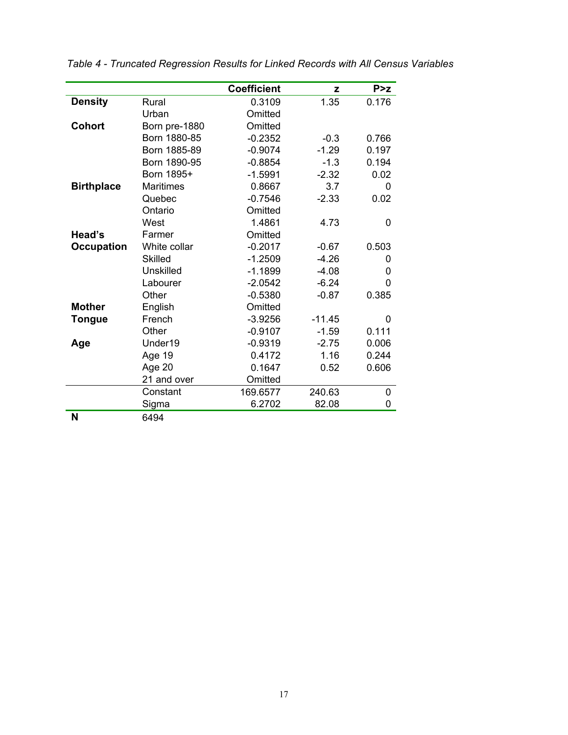|                   |                  | <b>Coefficient</b> | z        | P > z          |
|-------------------|------------------|--------------------|----------|----------------|
| <b>Density</b>    | Rural            | 0.3109             | 1.35     | 0.176          |
|                   | Urban            | Omitted            |          |                |
| <b>Cohort</b>     | Born pre-1880    | Omitted            |          |                |
|                   | Born 1880-85     | $-0.2352$          | $-0.3$   | 0.766          |
|                   | Born 1885-89     | $-0.9074$          | $-1.29$  | 0.197          |
|                   | Born 1890-95     | $-0.8854$          | $-1.3$   | 0.194          |
|                   | Born 1895+       | $-1.5991$          | $-2.32$  | 0.02           |
| <b>Birthplace</b> | <b>Maritimes</b> | 0.8667             | 3.7      | 0              |
|                   | Quebec           | $-0.7546$          | $-2.33$  | 0.02           |
|                   | Ontario          | Omitted            |          |                |
|                   | West             | 1.4861             | 4.73     | 0              |
| Head's            | Farmer           | Omitted            |          |                |
| <b>Occupation</b> | White collar     | $-0.2017$          | $-0.67$  | 0.503          |
|                   | <b>Skilled</b>   | $-1.2509$          | $-4.26$  | 0              |
|                   | <b>Unskilled</b> | $-1.1899$          | $-4.08$  | 0              |
|                   | Labourer         | $-2.0542$          | $-6.24$  | $\overline{0}$ |
|                   | Other            | $-0.5380$          | $-0.87$  | 0.385          |
| <b>Mother</b>     | English          | Omitted            |          |                |
| <b>Tongue</b>     | French           | $-3.9256$          | $-11.45$ | 0              |
|                   | Other            | $-0.9107$          | $-1.59$  | 0.111          |
| Age               | Under19          | $-0.9319$          | $-2.75$  | 0.006          |
|                   | Age 19           | 0.4172             | 1.16     | 0.244          |
|                   | Age 20           | 0.1647             | 0.52     | 0.606          |
|                   | 21 and over      | Omitted            |          |                |
|                   | Constant         | 169.6577           | 240.63   | 0              |
|                   | Sigma            | 6.2702             | 82.08    | 0              |
| M                 | 0.101            |                    |          |                |

*Table 4 - Truncated Regression Results for Linked Records with All Census Variables*

**N** 6494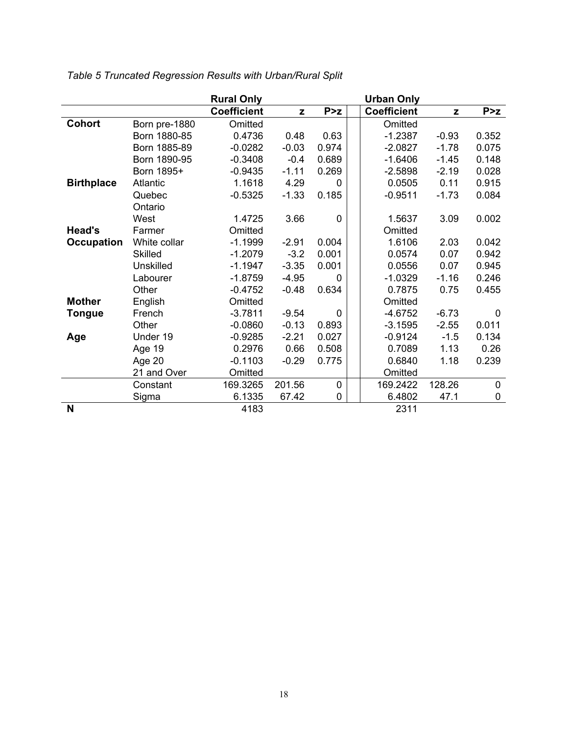|                   |                | <b>Rural Only</b>  |         |             | <b>Urban Only</b>  |         |             |
|-------------------|----------------|--------------------|---------|-------------|--------------------|---------|-------------|
|                   |                | <b>Coefficient</b> | z       | P > z       | <b>Coefficient</b> | z       | P > z       |
| <b>Cohort</b>     | Born pre-1880  | Omitted            |         |             | Omitted            |         |             |
|                   | Born 1880-85   | 0.4736             | 0.48    | 0.63        | $-1.2387$          | $-0.93$ | 0.352       |
|                   | Born 1885-89   | $-0.0282$          | $-0.03$ | 0.974       | $-2.0827$          | $-1.78$ | 0.075       |
|                   | Born 1890-95   | $-0.3408$          | $-0.4$  | 0.689       | $-1.6406$          | $-1.45$ | 0.148       |
|                   | Born 1895+     | $-0.9435$          | $-1.11$ | 0.269       | $-2.5898$          | $-2.19$ | 0.028       |
| <b>Birthplace</b> | Atlantic       | 1.1618             | 4.29    | $\Omega$    | 0.0505             | 0.11    | 0.915       |
|                   | Quebec         | $-0.5325$          | $-1.33$ | 0.185       | $-0.9511$          | $-1.73$ | 0.084       |
|                   | Ontario        |                    |         |             |                    |         |             |
|                   | West           | 1.4725             | 3.66    | $\Omega$    | 1.5637             | 3.09    | 0.002       |
| Head's            | Farmer         | Omitted            |         |             | Omitted            |         |             |
| <b>Occupation</b> | White collar   | $-1.1999$          | $-2.91$ | 0.004       | 1.6106             | 2.03    | 0.042       |
|                   | <b>Skilled</b> | $-1.2079$          | $-3.2$  | 0.001       | 0.0574             | 0.07    | 0.942       |
|                   | Unskilled      | $-1.1947$          | $-3.35$ | 0.001       | 0.0556             | 0.07    | 0.945       |
|                   | Labourer       | $-1.8759$          | $-4.95$ | $\Omega$    | $-1.0329$          | $-1.16$ | 0.246       |
|                   | Other          | $-0.4752$          | $-0.48$ | 0.634       | 0.7875             | 0.75    | 0.455       |
| <b>Mother</b>     | English        | Omitted            |         |             | Omitted            |         |             |
| <b>Tongue</b>     | French         | $-3.7811$          | $-9.54$ | $\Omega$    | $-4.6752$          | $-6.73$ | $\mathbf 0$ |
|                   | Other          | $-0.0860$          | $-0.13$ | 0.893       | $-3.1595$          | $-2.55$ | 0.011       |
| Age               | Under 19       | $-0.9285$          | $-2.21$ | 0.027       | $-0.9124$          | $-1.5$  | 0.134       |
|                   | Age 19         | 0.2976             | 0.66    | 0.508       | 0.7089             | 1.13    | 0.26        |
|                   | Age 20         | $-0.1103$          | $-0.29$ | 0.775       | 0.6840             | 1.18    | 0.239       |
|                   | 21 and Over    | Omitted            |         |             | Omitted            |         |             |
|                   | Constant       | 169.3265           | 201.56  | $\mathbf 0$ | 169.2422           | 128.26  | $\mathbf 0$ |
|                   | Sigma          | 6.1335             | 67.42   | 0           | 6.4802             | 47.1    | $\pmb{0}$   |
| N                 |                | 4183               |         |             | 2311               |         |             |

*Table 5 Truncated Regression Results with Urban/Rural Split*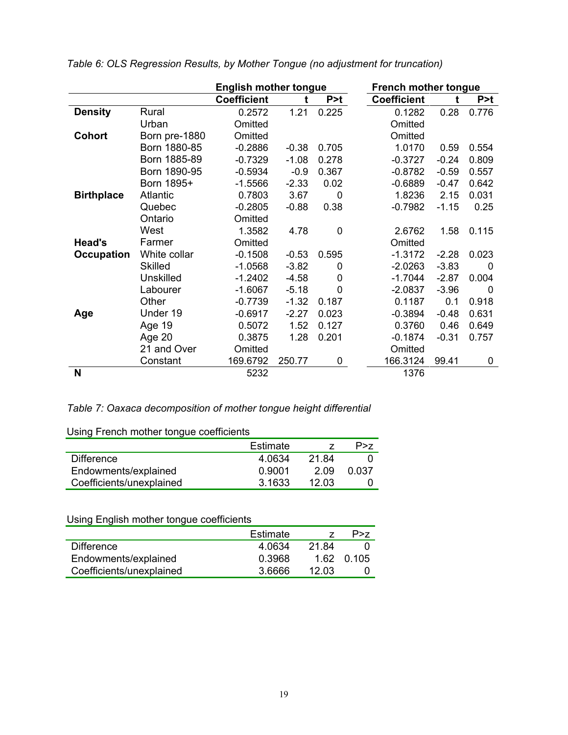|                   |                  | <b>English mother tongue</b> |         |             | <b>French mother tongue</b>      |         |       |
|-------------------|------------------|------------------------------|---------|-------------|----------------------------------|---------|-------|
|                   |                  | <b>Coefficient</b>           |         | P > t       | <b>Coefficient</b><br>P > t<br>t |         |       |
| <b>Density</b>    | Rural            | 0.2572                       | 1.21    | 0.225       | 0.1282                           | 0.28    | 0.776 |
|                   | Urban            | Omitted                      |         |             | Omitted                          |         |       |
| <b>Cohort</b>     | Born pre-1880    | Omitted                      |         |             | Omitted                          |         |       |
|                   | Born 1880-85     | $-0.2886$                    | $-0.38$ | 0.705       | 1.0170                           | 0.59    | 0.554 |
|                   | Born 1885-89     | $-0.7329$                    | $-1.08$ | 0.278       | $-0.3727$                        | $-0.24$ | 0.809 |
|                   | Born 1890-95     | $-0.5934$                    | $-0.9$  | 0.367       | $-0.8782$                        | $-0.59$ | 0.557 |
|                   | Born 1895+       | $-1.5566$                    | $-2.33$ | 0.02        | $-0.6889$                        | $-0.47$ | 0.642 |
| <b>Birthplace</b> | <b>Atlantic</b>  | 0.7803                       | 3.67    | 0           | 1.8236                           | 2.15    | 0.031 |
|                   | Quebec           | $-0.2805$                    | $-0.88$ | 0.38        | $-0.7982$                        | $-1.15$ | 0.25  |
|                   | Ontario          | Omitted                      |         |             |                                  |         |       |
|                   | West             | 1.3582                       | 4.78    | $\mathbf 0$ | 2.6762                           | 1.58    | 0.115 |
| Head's            | Farmer           | Omitted                      |         |             | Omitted                          |         |       |
| <b>Occupation</b> | White collar     | $-0.1508$                    | $-0.53$ | 0.595       | $-1.3172$                        | $-2.28$ | 0.023 |
|                   | <b>Skilled</b>   | $-1.0568$                    | $-3.82$ | 0           | $-2.0263$                        | $-3.83$ | 0     |
|                   | <b>Unskilled</b> | $-1.2402$                    | $-4.58$ | $\mathbf 0$ | $-1.7044$                        | $-2.87$ | 0.004 |
|                   | Labourer         | $-1.6067$                    | $-5.18$ | $\Omega$    | $-2.0837$                        | $-3.96$ | 0     |
|                   | Other            | $-0.7739$                    | $-1.32$ | 0.187       | 0.1187                           | 0.1     | 0.918 |
| Age               | Under 19         | $-0.6917$                    | $-2.27$ | 0.023       | $-0.3894$                        | $-0.48$ | 0.631 |
|                   | Age 19           | 0.5072                       | 1.52    | 0.127       | 0.3760                           | 0.46    | 0.649 |
|                   | Age 20           | 0.3875                       | 1.28    | 0.201       | $-0.1874$                        | $-0.31$ | 0.757 |
|                   | 21 and Over      | Omitted                      |         |             | Omitted                          |         |       |
|                   | Constant         | 169.6792                     | 250.77  | 0           | 166.3124                         | 99.41   | 0     |
| N                 |                  | 5232                         |         |             | 1376                             |         |       |

*Table 6: OLS Regression Results, by Mother Tongue (no adjustment for truncation)*

## *Table 7: Oaxaca decomposition of mother tongue height differential*

Using French mother tongue coefficients

| <b>Politiq Librior Hotiler torigac operholdite</b> |          |       |       |  |  |  |  |
|----------------------------------------------------|----------|-------|-------|--|--|--|--|
|                                                    | Estimate |       | P > 7 |  |  |  |  |
| <b>Difference</b>                                  | 4.0634   | 21.84 |       |  |  |  |  |
| Endowments/explained                               | 0.9001   | 2.09  | 0.037 |  |  |  |  |
| Coefficients/unexplained                           | 3.1633   | 12 Q3 |       |  |  |  |  |

## Using English mother tongue coefficients

|                          | Estimate |       | P > 7      |
|--------------------------|----------|-------|------------|
| <b>Difference</b>        | 4.0634   | 21.84 |            |
| Endowments/explained     | 0.3968   |       | 1.62 0.105 |
| Coefficients/unexplained | 3.6666   | 12 Q3 |            |